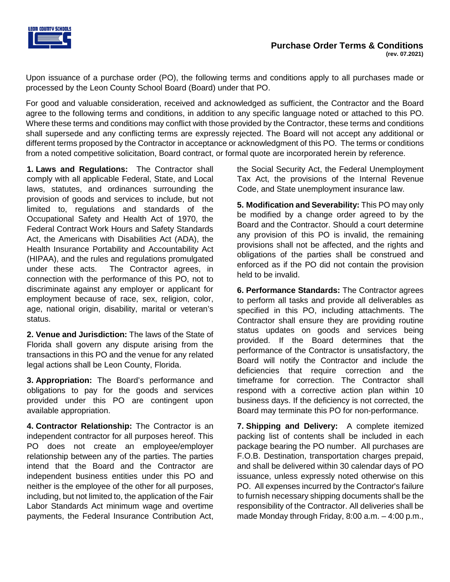

Upon issuance of a purchase order (PO), the following terms and conditions apply to all purchases made or processed by the Leon County School Board (Board) under that PO.

For good and valuable consideration, received and acknowledged as sufficient, the Contractor and the Board agree to the following terms and conditions, in addition to any specific language noted or attached to this PO. Where these terms and conditions may conflict with those provided by the Contractor, these terms and conditions shall supersede and any conflicting terms are expressly rejected. The Board will not accept any additional or different terms proposed by the Contractor in acceptance or acknowledgment of this PO. The terms or conditions from a noted competitive solicitation, Board contract, or formal quote are incorporated herein by reference.

**1. Laws and Regulations:** The Contractor shall comply with all applicable Federal, State, and Local laws, statutes, and ordinances surrounding the provision of goods and services to include, but not limited to, regulations and standards of the Occupational Safety and Health Act of 1970, the Federal Contract Work Hours and Safety Standards Act, the Americans with Disabilities Act (ADA), the Health Insurance Portability and Accountability Act (HIPAA), and the rules and regulations promulgated under these acts. The Contractor agrees, in connection with the performance of this PO, not to discriminate against any employer or applicant for employment because of race, sex, religion, color, age, national origin, disability, marital or veteran's status.

**2. Venue and Jurisdiction:** The laws of the State of Florida shall govern any dispute arising from the transactions in this PO and the venue for any related legal actions shall be Leon County, Florida.

**3. Appropriation:** The Board's performance and obligations to pay for the goods and services provided under this PO are contingent upon available appropriation.

**4. Contractor Relationship:** The Contractor is an independent contractor for all purposes hereof. This PO does not create an employee/employer relationship between any of the parties. The parties intend that the Board and the Contractor are independent business entities under this PO and neither is the employee of the other for all purposes, including, but not limited to, the application of the Fair Labor Standards Act minimum wage and overtime payments, the Federal Insurance Contribution Act,

the Social Security Act, the Federal Unemployment Tax Act, the provisions of the Internal Revenue Code, and State unemployment insurance law.

**5. Modification and Severability:** This PO may only be modified by a change order agreed to by the Board and the Contractor. Should a court determine any provision of this PO is invalid, the remaining provisions shall not be affected, and the rights and obligations of the parties shall be construed and enforced as if the PO did not contain the provision held to be invalid.

**6. Performance Standards:** The Contractor agrees to perform all tasks and provide all deliverables as specified in this PO, including attachments. The Contractor shall ensure they are providing routine status updates on goods and services being provided. If the Board determines that the performance of the Contractor is unsatisfactory, the Board will notify the Contractor and include the deficiencies that require correction and the timeframe for correction. The Contractor shall respond with a corrective action plan within 10 business days. If the deficiency is not corrected, the Board may terminate this PO for non-performance.

**7. Shipping and Delivery:** A complete itemized packing list of contents shall be included in each package bearing the PO number. All purchases are F.O.B. Destination, transportation charges prepaid, and shall be delivered within 30 calendar days of PO issuance, unless expressly noted otherwise on this PO. All expenses incurred by the Contractor's failure to furnish necessary shipping documents shall be the responsibility of the Contractor. All deliveries shall be made Monday through Friday, 8:00 a.m. – 4:00 p.m.,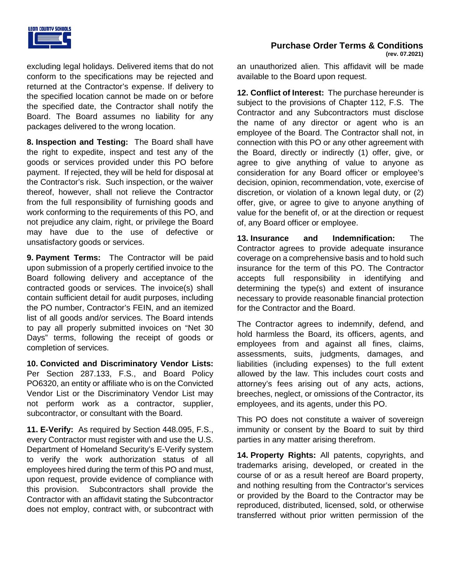

excluding legal holidays. Delivered items that do not conform to the specifications may be rejected and returned at the Contractor's expense. If delivery to the specified location cannot be made on or before the specified date, the Contractor shall notify the Board. The Board assumes no liability for any packages delivered to the wrong location.

**8. Inspection and Testing:** The Board shall have the right to expedite, inspect and test any of the goods or services provided under this PO before payment. If rejected, they will be held for disposal at the Contractor's risk. Such inspection, or the waiver thereof, however, shall not relieve the Contractor from the full responsibility of furnishing goods and work conforming to the requirements of this PO, and not prejudice any claim, right, or privilege the Board may have due to the use of defective or unsatisfactory goods or services.

**9. Payment Terms:** The Contractor will be paid upon submission of a properly certified invoice to the Board following delivery and acceptance of the contracted goods or services. The invoice(s) shall contain sufficient detail for audit purposes, including the PO number, Contractor's FEIN, and an itemized list of all goods and/or services. The Board intends to pay all properly submitted invoices on "Net 30 Days" terms, following the receipt of goods or completion of services.

**10. Convicted and Discriminatory Vendor Lists:** Per Section 287.133, F.S., and Board Policy PO6320, an entity or affiliate who is on the Convicted Vendor List or the Discriminatory Vendor List may not perform work as a contractor, supplier, subcontractor, or consultant with the Board.

**11. E-Verify:** As required by Section 448.095, F.S., every Contractor must register with and use the U.S. Department of Homeland Security's E-Verify system to verify the work authorization status of all employees hired during the term of this PO and must, upon request, provide evidence of compliance with this provision. Subcontractors shall provide the Contractor with an affidavit stating the Subcontractor does not employ, contract with, or subcontract with

an unauthorized alien. This affidavit will be made available to the Board upon request.

**12. Conflict of Interest:** The purchase hereunder is subject to the provisions of Chapter 112, F.S. The Contractor and any Subcontractors must disclose the name of any director or agent who is an employee of the Board. The Contractor shall not, in connection with this PO or any other agreement with the Board, directly or indirectly (1) offer, give, or agree to give anything of value to anyone as consideration for any Board officer or employee's decision, opinion, recommendation, vote, exercise of discretion, or violation of a known legal duty, or (2) offer, give, or agree to give to anyone anything of value for the benefit of, or at the direction or request of, any Board officer or employee.

**13. Insurance and Indemnification:** The Contractor agrees to provide adequate insurance coverage on a comprehensive basis and to hold such insurance for the term of this PO. The Contractor accepts full responsibility in identifying and determining the type(s) and extent of insurance necessary to provide reasonable financial protection for the Contractor and the Board.

The Contractor agrees to indemnify, defend, and hold harmless the Board, its officers, agents, and employees from and against all fines, claims, assessments, suits, judgments, damages, and liabilities (including expenses) to the full extent allowed by the law. This includes court costs and attorney's fees arising out of any acts, actions, breeches, neglect, or omissions of the Contractor, its employees, and its agents, under this PO.

This PO does not constitute a waiver of sovereign immunity or consent by the Board to suit by third parties in any matter arising therefrom.

**14. Property Rights:** All patents, copyrights, and trademarks arising, developed, or created in the course of or as a result hereof are Board property, and nothing resulting from the Contractor's services or provided by the Board to the Contractor may be reproduced, distributed, licensed, sold, or otherwise transferred without prior written permission of the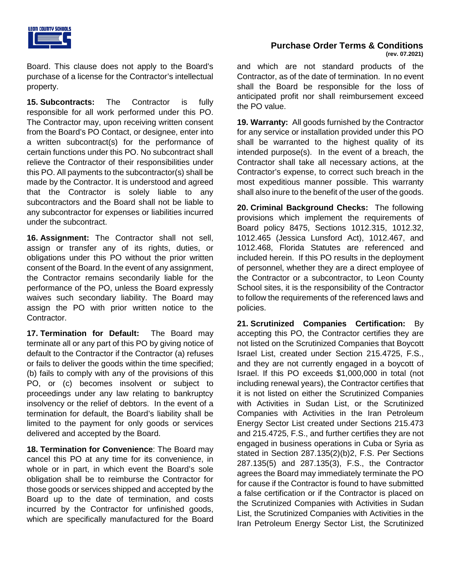

Board. This clause does not apply to the Board's purchase of a license for the Contractor's intellectual property.

**15. Subcontracts:** The Contractor is fully responsible for all work performed under this PO. The Contractor may, upon receiving written consent from the Board's PO Contact, or designee, enter into a written subcontract(s) for the performance of certain functions under this PO. No subcontract shall relieve the Contractor of their responsibilities under this PO. All payments to the subcontractor(s) shall be made by the Contractor. It is understood and agreed that the Contractor is solely liable to any subcontractors and the Board shall not be liable to any subcontractor for expenses or liabilities incurred under the subcontract.

**16. Assignment:** The Contractor shall not sell, assign or transfer any of its rights, duties, or obligations under this PO without the prior written consent of the Board. In the event of any assignment, the Contractor remains secondarily liable for the performance of the PO, unless the Board expressly waives such secondary liability. The Board may assign the PO with prior written notice to the Contractor.

**17. Termination for Default:** The Board may terminate all or any part of this PO by giving notice of default to the Contractor if the Contractor (a) refuses or fails to deliver the goods within the time specified; (b) fails to comply with any of the provisions of this PO, or (c) becomes insolvent or subject to proceedings under any law relating to bankruptcy insolvency or the relief of debtors. In the event of a termination for default, the Board's liability shall be limited to the payment for only goods or services delivered and accepted by the Board.

**18. Termination for Convenience**: The Board may cancel this PO at any time for its convenience, in whole or in part, in which event the Board's sole obligation shall be to reimburse the Contractor for those goods or services shipped and accepted by the Board up to the date of termination, and costs incurred by the Contractor for unfinished goods, which are specifically manufactured for the Board

and which are not standard products of the Contractor, as of the date of termination. In no event shall the Board be responsible for the loss of anticipated profit nor shall reimbursement exceed the PO value.

**19. Warranty:** All goods furnished by the Contractor for any service or installation provided under this PO shall be warranted to the highest quality of its intended purpose(s). In the event of a breach, the Contractor shall take all necessary actions, at the Contractor's expense, to correct such breach in the most expeditious manner possible. This warranty shall also inure to the benefit of the user of the goods.

**20. Criminal Background Checks:** The following provisions which implement the requirements of Board policy 8475, Sections 1012.315, 1012.32, 1012.465 (Jessica Lunsford Act), 1012.467, and 1012.468, Florida Statutes are referenced and included herein. If this PO results in the deployment of personnel, whether they are a direct employee of the Contractor or a subcontractor, to Leon County School sites, it is the responsibility of the Contractor to follow the requirements of the referenced laws and policies.

**21. Scrutinized Companies Certification:** By accepting this PO, the Contractor certifies they are not listed on the Scrutinized Companies that Boycott Israel List, created under Section 215.4725, F.S., and they are not currently engaged in a boycott of Israel. If this PO exceeds \$1,000,000 in total (not including renewal years), the Contractor certifies that it is not listed on either the Scrutinized Companies with Activities in Sudan List, or the Scrutinized Companies with Activities in the Iran Petroleum Energy Sector List created under Sections 215.473 and 215.4725, F.S., and further certifies they are not engaged in business operations in Cuba or Syria as stated in Section 287.135(2)(b)2, F.S. Per Sections 287.135(5) and 287.135(3), F.S., the Contractor agrees the Board may immediately terminate the PO for cause if the Contractor is found to have submitted a false certification or if the Contractor is placed on the Scrutinized Companies with Activities in Sudan List, the Scrutinized Companies with Activities in the Iran Petroleum Energy Sector List, the Scrutinized